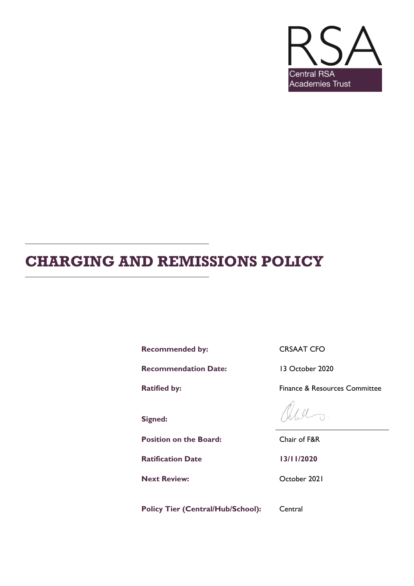

# **CHARGING AND REMISSIONS POLICY**

Recommended by: CRSAAT CFO

**Recommendation Date:** 13 October 2020

**Signed:**

**Position on the Board:** Chair of F&R

**Ratification Date 13/11/2020**

**Next Review:** October 2021

Policy Tier (Central/Hub/School): Central

**Ratified by:** Finance & Resources Committee

 $\overline{\Omega}$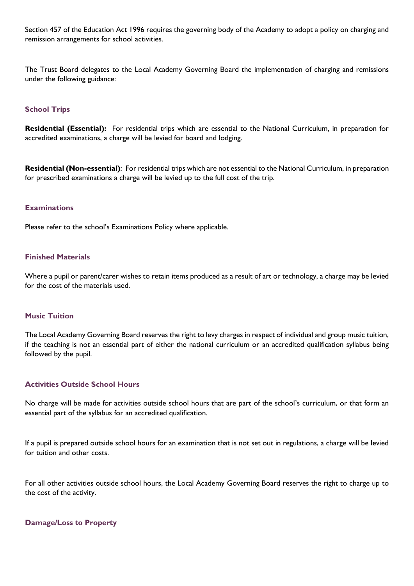Section 457 of the Education Act 1996 requires the governing body of the Academy to adopt a policy on charging and remission arrangements for school activities.

The Trust Board delegates to the Local Academy Governing Board the implementation of charging and remissions under the following guidance:

## **School Trips**

**Residential (Essential):** For residential trips which are essential to the National Curriculum, in preparation for accredited examinations, a charge will be levied for board and lodging.

**Residential (Non-essential)**: For residential trips which are not essential to the National Curriculum, in preparation for prescribed examinations a charge will be levied up to the full cost of the trip.

#### **Examinations**

Please refer to the school's Examinations Policy where applicable.

#### **Finished Materials**

Where a pupil or parent/carer wishes to retain items produced as a result of art or technology, a charge may be levied for the cost of the materials used.

### **Music Tuition**

The Local Academy Governing Board reserves the right to levy charges in respect of individual and group music tuition, if the teaching is not an essential part of either the national curriculum or an accredited qualification syllabus being followed by the pupil.

#### **Activities Outside School Hours**

No charge will be made for activities outside school hours that are part of the school's curriculum, or that form an essential part of the syllabus for an accredited qualification.

If a pupil is prepared outside school hours for an examination that is not set out in regulations, a charge will be levied for tuition and other costs.

For all other activities outside school hours, the Local Academy Governing Board reserves the right to charge up to the cost of the activity.

#### **Damage/Loss to Property**